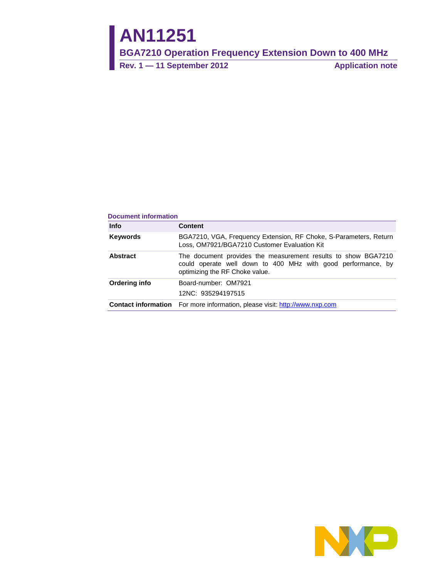# **AN11251**

**BGA7210 Operation Frequency Extension Down to 400 MHz** 

**Rev. 1 — 11 September 2012 Application note**

#### **Document information**

| <b>Info</b>     | Content                                                                                                                                                         |  |  |
|-----------------|-----------------------------------------------------------------------------------------------------------------------------------------------------------------|--|--|
| <b>Keywords</b> | BGA7210, VGA, Frequency Extension, RF Choke, S-Parameters, Return<br>Loss, OM7921/BGA7210 Customer Evaluation Kit                                               |  |  |
| <b>Abstract</b> | The document provides the measurement results to show BGA7210<br>could operate well down to 400 MHz with good performance, by<br>optimizing the RF Choke value. |  |  |
| Ordering info   | Board-number: OM7921                                                                                                                                            |  |  |
|                 | 12NC: 935294197515                                                                                                                                              |  |  |
|                 | <b>Contact information</b> For more information, please visit: http://www.nxp.com                                                                               |  |  |

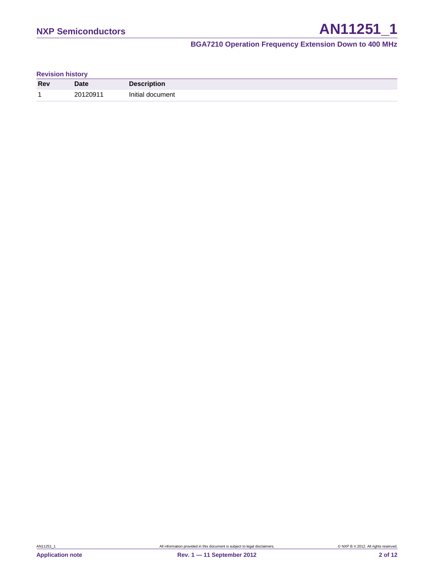| <b>Revision history</b> |  |
|-------------------------|--|
|-------------------------|--|

| <b>Rev</b> | <b>Date</b> | <b>Description</b> |
|------------|-------------|--------------------|
| и          | 20120911    | Initial document   |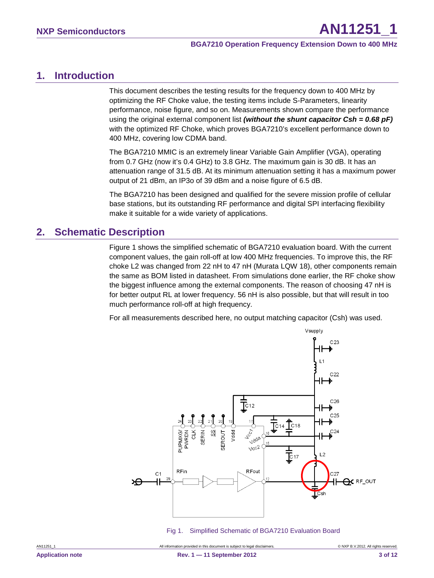## <span id="page-2-0"></span>**1. Introduction**

This document describes the testing results for the frequency down to 400 MHz by optimizing the RF Choke value, the testing items include S-Parameters, linearity performance, noise figure, and so on. Measurements shown compare the performance using the original external component list *(without the shunt capacitor Csh = 0.68 pF)* with the optimized RF Choke, which proves BGA7210's excellent performance down to 400 MHz, covering low CDMA band.

The BGA7210 MMIC is an extremely linear Variable Gain Amplifier (VGA), operating from 0.7 GHz (now it's 0.4 GHz) to 3.8 GHz. The maximum gain is 30 dB. It has an attenuation range of 31.5 dB. At its minimum attenuation setting it has a maximum power output of 21 dBm, an IP3o of 39 dBm and a noise figure of 6.5 dB.

The BGA7210 has been designed and qualified for the severe mission profile of cellular base stations, but its outstanding RF performance and digital SPI interfacing flexibility make it suitable for a wide variety of applications.

# <span id="page-2-1"></span>**2. Schematic Description**

Figure 1 shows the simplified schematic of BGA7210 evaluation board. With the current component values, the gain roll-off at low 400 MHz frequencies. To improve this, the RF choke L2 was changed from 22 nH to 47 nH (Murata LQW 18), other components remain the same as BOM listed in datasheet. From simulations done earlier, the RF choke show the biggest influence among the external components. The reason of choosing 47 nH is for better output RL at lower frequency. 56 nH is also possible, but that will result in too much performance roll-off at high frequency.

For all measurements described here, no output matching capacitor (Csh) was used.



Fig 1. Simplified Schematic of BGA7210 Evaluation Board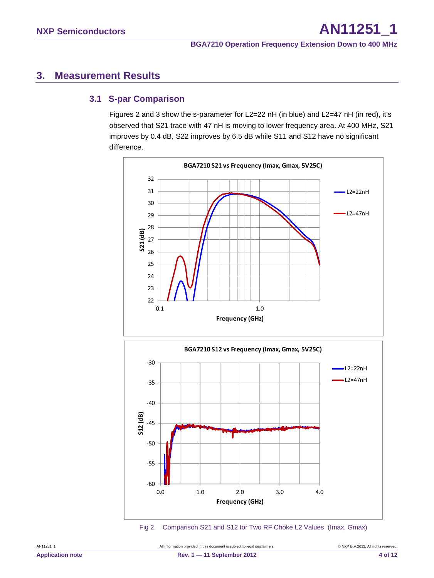# <span id="page-3-0"></span>**3. Measurement Results**

## <span id="page-3-1"></span>**3.1 S-par Comparison**

Figures 2 and 3 show the s-parameter for L2=22 nH (in blue) and L2=47 nH (in red), it's observed that S21 trace with 47 nH is moving to lower frequency area. At 400 MHz, S21 improves by 0.4 dB, S22 improves by 6.5 dB while S11 and S12 have no significant difference.



-60 -55 0.0 1.0 2.0 3.0 4.0 **Frequency (GHz)**

Fig 2. Comparison S21 and S12 for Two RF Choke L2 Values (Imax, Gmax)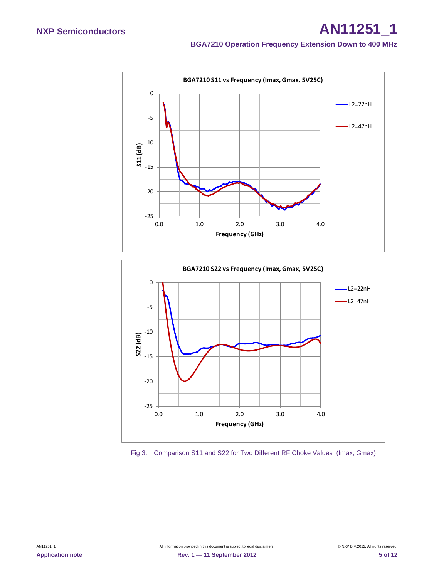



Fig 3. Comparison S11 and S22 for Two Different RF Choke Values (Imax, Gmax)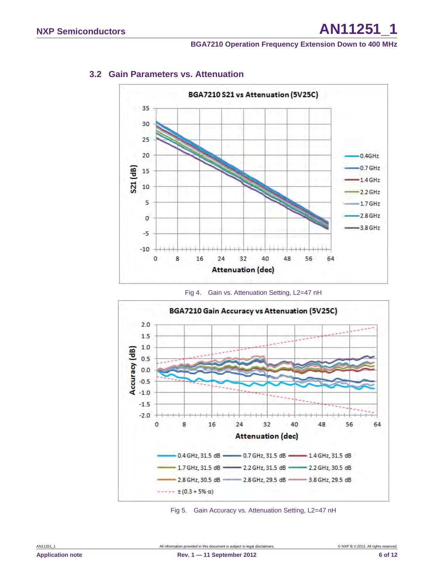<span id="page-5-0"></span>

## **3.2 Gain Parameters vs. Attenuation**





Fig 5. Gain Accuracy vs. Attenuation Setting, L2=47 nH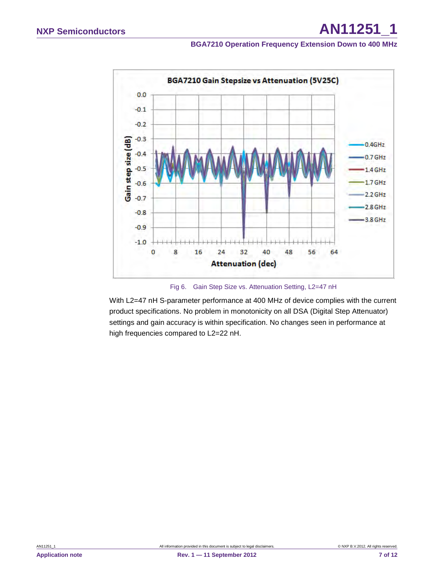

Fig 6. Gain Step Size vs. Attenuation Setting, L2=47 nH

With L2=47 nH S-parameter performance at 400 MHz of device complies with the current product specifications. No problem in monotonicity on all DSA (Digital Step Attenuator) settings and gain accuracy is within specification. No changes seen in performance at high frequencies compared to L2=22 nH.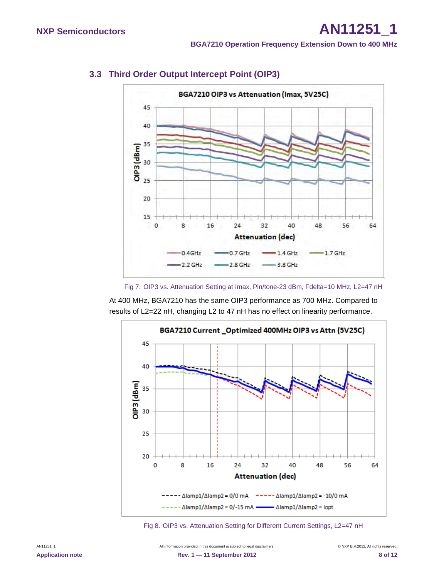<span id="page-7-0"></span>

## **3.3 Third Order Output Intercept Point (OIP3)**

Fig 7. OIP3 vs. Attenuation Setting at Imax, Pin/tone-23 dBm, Fdelta=10 MHz, L2=47 nH

At 400 MHz, BGA7210 has the same OIP3 performance as 700 MHz. Compared to results of L2=22 nH, changing L2 to 47 nH has no effect on linearity performance.



Fig 8. OIP3 vs. Attenuation Setting for Different Current Settings, L2=47 nH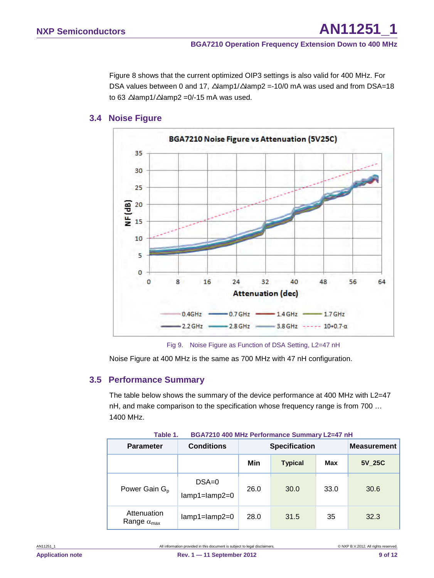Figure 8 shows that the current optimized OIP3 settings is also valid for 400 MHz. For DSA values between 0 and 17, ∆amp1/∆amp2 =-10/0 mA was used and from DSA=18 to 63  $\Delta$ lamp1/ $\Delta$ lamp2 = 0/-15 mA was used.

## **3.4 Noise Figure**

<span id="page-8-0"></span>

Fig 9. Noise Figure as Function of DSA Setting, L2=47 nH

<span id="page-8-1"></span>Noise Figure at 400 MHz is the same as 700 MHz with 47 nH configuration.

## **3.5 Performance Summary**

The table below shows the summary of the device performance at 400 MHz with L2=47 nH, and make comparison to the specification whose frequency range is from 700 … 1400 MHz.

| lable 1.<br>BGA7210 400 MHz Performance Summary L2=47 nH |                                |                      |                    |            |        |
|----------------------------------------------------------|--------------------------------|----------------------|--------------------|------------|--------|
| <b>Parameter</b>                                         | <b>Conditions</b>              | <b>Specification</b> | <b>Measurement</b> |            |        |
|                                                          |                                | Min                  | <b>Typical</b>     | <b>Max</b> | 5V 25C |
| Power Gain G <sub>p</sub>                                | $DSA=0$<br>$lamp1 = lamp2 = 0$ | 26.0                 | 30.0               | 33.0       | 30.6   |
| Attenuation<br>Range $\alpha_{\text{max}}$               | $lamp1 = lamp2 = 0$            | 28.0                 | 31.5               | 35         | 32.3   |

**Table 1. BGA7210 400 MHz Performance Summary L2=47 nH**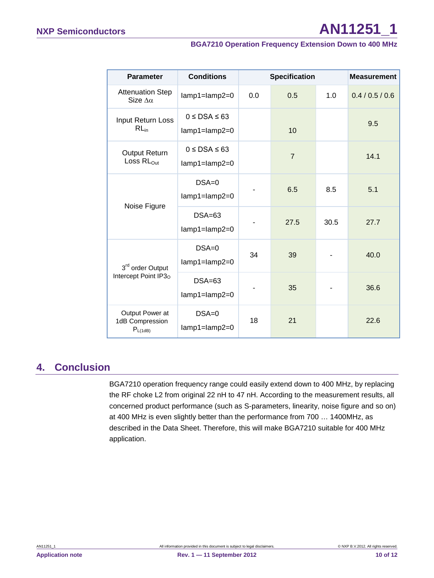| <b>Parameter</b>                                     | <b>Conditions</b>                             | <b>Specification</b> |                |      | <b>Measurement</b> |
|------------------------------------------------------|-----------------------------------------------|----------------------|----------------|------|--------------------|
| <b>Attenuation Step</b><br>Size $\Delta \alpha$      | $lamp1 = lamp2 = 0$                           | 0.0                  | 0.5            | 1.0  | 0.4 / 0.5 / 0.6    |
| Input Return Loss<br>$RL_{in}$                       | $0 \leq$ DSA $\leq$ 63<br>$lamp1 = lamp2 = 0$ |                      | 10             |      | 9.5                |
| Output Return<br>Loss $RL_{Out}$                     | $0 \leq$ DSA $\leq$ 63<br>$lamp1 = lamp2 = 0$ |                      | $\overline{7}$ |      | 14.1               |
| Noise Figure                                         | $DSA=0$<br>$lamp1 = lamp2 = 0$                |                      | 6.5            | 8.5  | 5.1                |
|                                                      | $DSA=63$<br>$lamp1 = lamp2 = 0$               |                      | 27.5           | 30.5 | 27.7               |
| 3rd order Output<br>Intercept Point IP3 <sub>0</sub> | $DSA=0$<br>$lamp1 = lamp2 = 0$                | 34                   | 39             |      | 40.0               |
|                                                      | $DSA=63$<br>$lamp1 = lamp2 = 0$               |                      | 35             |      | 36.6               |
| Output Power at<br>1dB Compression<br>$P_{L(1dB)}$   | $DSA=0$<br>$lamp1 = lamp2 = 0$                | 18                   | 21             |      | 22.6               |

# <span id="page-9-0"></span>**4. Conclusion**

BGA7210 operation frequency range could easily extend down to 400 MHz, by replacing the RF choke L2 from original 22 nH to 47 nH. According to the measurement results, all concerned product performance (such as S-parameters, linearity, noise figure and so on) at 400 MHz is even slightly better than the performance from 700 … 1400MHz, as described in the Data Sheet. Therefore, this will make BGA7210 suitable for 400 MHz application.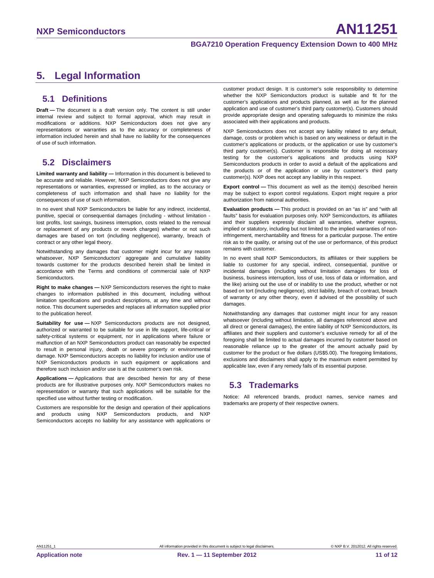# <span id="page-10-0"></span>**5. Legal Information**

## <span id="page-10-1"></span>**5.1 Definitions**

**Draft —** The document is a draft version only. The content is still under internal review and subject to formal approval, which may result in modifications or additions. NXP Semiconductors does not give any representations or warranties as to the accuracy or completeness of information included herein and shall have no liability for the consequences of use of such information.

## <span id="page-10-2"></span>**5.2 Disclaimers**

**Limited warranty and liability —** Information in this document is believed to be accurate and reliable. However, NXP Semiconductors does not give any representations or warranties, expressed or implied, as to the accuracy or completeness of such information and shall have no liability for the consequences of use of such information.

In no event shall NXP Semiconductors be liable for any indirect, incidental, punitive, special or consequential damages (including - without limitation lost profits, lost savings, business interruption, costs related to the removal or replacement of any products or rework charges) whether or not such damages are based on tort (including negligence), warranty, breach of contract or any other legal theory.

Notwithstanding any damages that customer might incur for any reason whatsoever, NXP Semiconductors' aggregate and cumulative liability towards customer for the products described herein shall be limited in accordance with the Terms and conditions of commercial sale of NXP **Semiconductors** 

**Right to make changes —** NXP Semiconductors reserves the right to make changes to information published in this document, including without limitation specifications and product descriptions, at any time and without notice. This document supersedes and replaces all information supplied prior to the publication hereof.

**Suitability for use —** NXP Semiconductors products are not designed, authorized or warranted to be suitable for use in life support, life-critical or safety-critical systems or equipment, nor in applications where failure or malfunction of an NXP Semiconductors product can reasonably be expected to result in personal injury, death or severe property or environmental damage. NXP Semiconductors accepts no liability for inclusion and/or use of NXP Semiconductors products in such equipment or applications and therefore such inclusion and/or use is at the customer's own risk.

**Applications —** Applications that are described herein for any of these products are for illustrative purposes only. NXP Semiconductors makes no representation or warranty that such applications will be suitable for the specified use without further testing or modification.

Customers are responsible for the design and operation of their applications and products using NXP Semiconductors products, and NXP Semiconductors accepts no liability for any assistance with applications or

customer product design. It is customer's sole responsibility to determine whether the NXP Semiconductors product is suitable and fit for the customer's applications and products planned, as well as for the planned application and use of customer's third party customer(s). Customers should provide appropriate design and operating safeguards to minimize the risks associated with their applications and products.

NXP Semiconductors does not accept any liability related to any default, damage, costs or problem which is based on any weakness or default in the customer's applications or products, or the application or use by customer's third party customer(s). Customer is responsible for doing all necessary testing for the customer's applications and products using NXP Semiconductors products in order to avoid a default of the applications and the products or of the application or use by customer's third party customer(s). NXP does not accept any liability in this respect.

**Export control —** This document as well as the item(s) described herein may be subject to export control regulations. Export might require a prior authorization from national authorities.

**Evaluation products —** This product is provided on an "as is" and "with all faults" basis for evaluation purposes only. NXP Semiconductors, its affiliates and their suppliers expressly disclaim all warranties, whether express, implied or statutory, including but not limited to the implied warranties of noninfringement, merchantability and fitness for a particular purpose. The entire risk as to the quality, or arising out of the use or performance, of this product remains with customer.

In no event shall NXP Semiconductors, its affiliates or their suppliers be liable to customer for any special, indirect, consequential, punitive or incidental damages (including without limitation damages for loss of business, business interruption, loss of use, loss of data or information, and the like) arising out the use of or inability to use the product, whether or not based on tort (including negligence), strict liability, breach of contract, breach of warranty or any other theory, even if advised of the possibility of such damages

Notwithstanding any damages that customer might incur for any reason whatsoever (including without limitation, all damages referenced above and all direct or general damages), the entire liability of NXP Semiconductors, its affiliates and their suppliers and customer's exclusive remedy for all of the foregoing shall be limited to actual damages incurred by customer based on reasonable reliance up to the greater of the amount actually paid by customer for the product or five dollars (US\$5.00). The foregoing limitations, exclusions and disclaimers shall apply to the maximum extent permitted by applicable law, even if any remedy fails of its essential purpose.

## <span id="page-10-3"></span>**5.3 Trademarks**

Notice: All referenced brands, product names, service names and trademarks are property of their respective owners.